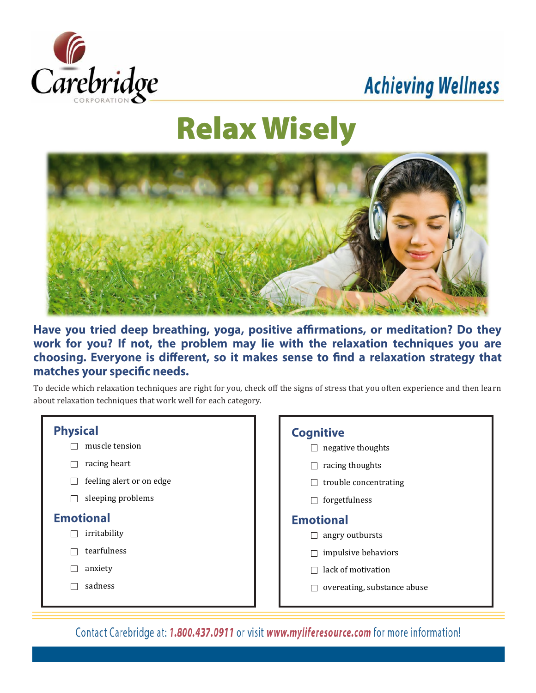

# **Achieving Wellness**

# **Relax Wisely**



Have you tried deep breathing, yoga, positive affirmations, or meditation? Do they work for you? If not, the problem may lie with the relaxation techniques you are choosing. Everyone is different, so it makes sense to find a relaxation strategy that matches your specific needs.

To decide which relaxation techniques are right for you, check off the signs of stress that you often experience and then learn about relaxation techniques that work well for each category.



 $\Box$  negative thoughts  $\Box$  racing thoughts  $\Box$  trouble concentrating  $\Box$  forgetfulness **Emotional**  $\Box$  angry outbursts  $\Box$  impulsive behaviors

- $\Box$  lack of motivation
- $\Box$  overeating, substance abuse

Contact Carebridge at: 1.800.437.0911 or visit www.myliferesource.com for more information!